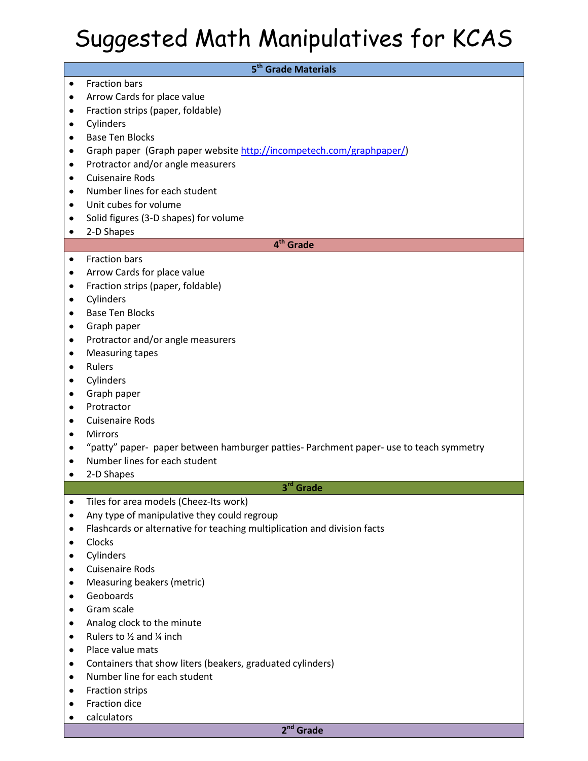## Suggested Math Manipulatives for KCAS

| 5 <sup>th</sup> Grade Materials |                                                                                        |  |
|---------------------------------|----------------------------------------------------------------------------------------|--|
| $\bullet$                       | <b>Fraction bars</b>                                                                   |  |
| ٠                               | Arrow Cards for place value                                                            |  |
| ٠                               | Fraction strips (paper, foldable)                                                      |  |
| ٠                               | Cylinders                                                                              |  |
| ٠                               | <b>Base Ten Blocks</b>                                                                 |  |
| ٠                               | Graph paper (Graph paper website http://incompetech.com/graphpaper/)                   |  |
| $\bullet$                       | Protractor and/or angle measurers                                                      |  |
| $\bullet$                       | <b>Cuisenaire Rods</b>                                                                 |  |
| ٠                               | Number lines for each student                                                          |  |
| $\bullet$                       | Unit cubes for volume                                                                  |  |
| ٠                               | Solid figures (3-D shapes) for volume                                                  |  |
| ٠                               | 2-D Shapes                                                                             |  |
| 4 <sup>th</sup> Grade           |                                                                                        |  |
| $\bullet$                       | <b>Fraction bars</b>                                                                   |  |
| ٠                               | Arrow Cards for place value                                                            |  |
| ٠                               | Fraction strips (paper, foldable)                                                      |  |
| ٠                               | Cylinders                                                                              |  |
| ٠                               | <b>Base Ten Blocks</b>                                                                 |  |
| ٠                               | Graph paper                                                                            |  |
| ٠                               | Protractor and/or angle measurers                                                      |  |
| ٠                               | <b>Measuring tapes</b>                                                                 |  |
| ٠                               | Rulers                                                                                 |  |
| ٠                               | Cylinders                                                                              |  |
| $\bullet$                       | Graph paper                                                                            |  |
| ٠                               | Protractor                                                                             |  |
| ٠                               | <b>Cuisenaire Rods</b>                                                                 |  |
| ٠                               | <b>Mirrors</b>                                                                         |  |
| ٠                               | "patty" paper- paper between hamburger patties- Parchment paper- use to teach symmetry |  |
| $\bullet$                       | Number lines for each student                                                          |  |
| $\bullet$                       | 2-D Shapes                                                                             |  |
|                                 | 3rd Grade                                                                              |  |
| $\bullet$                       | Tiles for area models (Cheez-Its work)                                                 |  |
| ٠                               | Any type of manipulative they could regroup                                            |  |
| ٠                               | Flashcards or alternative for teaching multiplication and division facts               |  |
| ٠                               | Clocks                                                                                 |  |
| ٠                               | Cylinders                                                                              |  |
| ٠                               | <b>Cuisenaire Rods</b>                                                                 |  |
| ٠                               | Measuring beakers (metric)<br>Geoboards                                                |  |
| ٠                               | Gram scale                                                                             |  |
| ٠                               | Analog clock to the minute                                                             |  |
| ٠                               | Rulers to 1/2 and 1/4 inch                                                             |  |
| ٠<br>٠                          | Place value mats                                                                       |  |
| ٠                               | Containers that show liters (beakers, graduated cylinders)                             |  |
| ٠                               | Number line for each student                                                           |  |
| ٠                               | Fraction strips                                                                        |  |
| ٠                               | Fraction dice                                                                          |  |
| ٠                               | calculators                                                                            |  |
|                                 | $2nd$ Grade                                                                            |  |